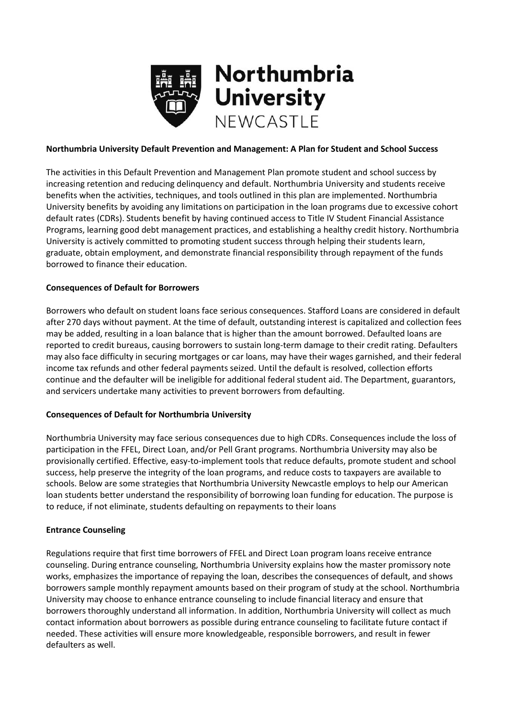

### **Northumbria University Default Prevention and Management: A Plan for Student and School Success**

The activities in this Default Prevention and Management Plan promote student and school success by increasing retention and reducing delinquency and default. Northumbria University and students receive benefits when the activities, techniques, and tools outlined in this plan are implemented. Northumbria University benefits by avoiding any limitations on participation in the loan programs due to excessive cohort default rates (CDRs). Students benefit by having continued access to Title IV Student Financial Assistance Programs, learning good debt management practices, and establishing a healthy credit history. Northumbria University is actively committed to promoting student success through helping their students learn, graduate, obtain employment, and demonstrate financial responsibility through repayment of the funds borrowed to finance their education.

### **Consequences of Default for Borrowers**

Borrowers who default on student loans face serious consequences. Stafford Loans are considered in default after 270 days without payment. At the time of default, outstanding interest is capitalized and collection fees may be added, resulting in a loan balance that is higher than the amount borrowed. Defaulted loans are reported to credit bureaus, causing borrowers to sustain long-term damage to their credit rating. Defaulters may also face difficulty in securing mortgages or car loans, may have their wages garnished, and their federal income tax refunds and other federal payments seized. Until the default is resolved, collection efforts continue and the defaulter will be ineligible for additional federal student aid. The Department, guarantors, and servicers undertake many activities to prevent borrowers from defaulting.

### **Consequences of Default for Northumbria University**

Northumbria University may face serious consequences due to high CDRs. Consequences include the loss of participation in the FFEL, Direct Loan, and/or Pell Grant programs. Northumbria University may also be provisionally certified. Effective, easy-to-implement tools that reduce defaults, promote student and school success, help preserve the integrity of the loan programs, and reduce costs to taxpayers are available to schools. Below are some strategies that Northumbria University Newcastle employs to help our American loan students better understand the responsibility of borrowing loan funding for education. The purpose is to reduce, if not eliminate, students defaulting on repayments to their loans

### **Entrance Counseling**

Regulations require that first time borrowers of FFEL and Direct Loan program loans receive entrance counseling. During entrance counseling, Northumbria University explains how the master promissory note works, emphasizes the importance of repaying the loan, describes the consequences of default, and shows borrowers sample monthly repayment amounts based on their program of study at the school. Northumbria University may choose to enhance entrance counseling to include financial literacy and ensure that borrowers thoroughly understand all information. In addition, Northumbria University will collect as much contact information about borrowers as possible during entrance counseling to facilitate future contact if needed. These activities will ensure more knowledgeable, responsible borrowers, and result in fewer defaulters as well.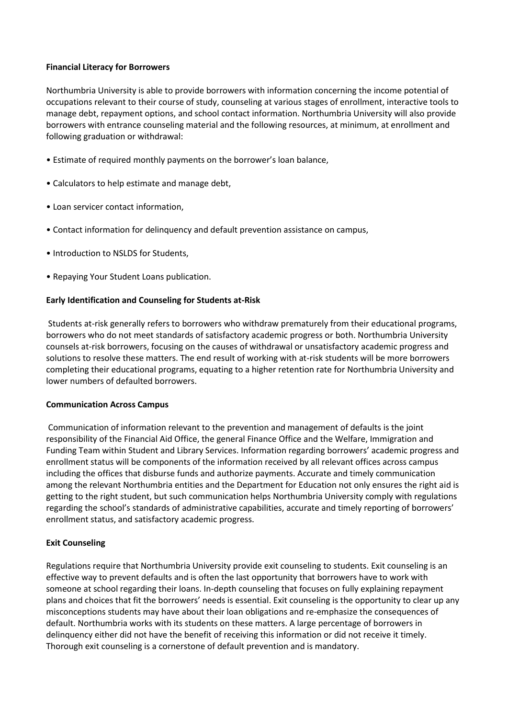### **Financial Literacy for Borrowers**

Northumbria University is able to provide borrowers with information concerning the income potential of occupations relevant to their course of study, counseling at various stages of enrollment, interactive tools to manage debt, repayment options, and school contact information. Northumbria University will also provide borrowers with entrance counseling material and the following resources, at minimum, at enrollment and following graduation or withdrawal:

- Estimate of required monthly payments on the borrower's loan balance,
- Calculators to help estimate and manage debt,
- Loan servicer contact information,
- Contact information for delinquency and default prevention assistance on campus,
- Introduction to NSLDS for Students,
- Repaying Your Student Loans publication.

# **Early Identification and Counseling for Students at-Risk**

Students at-risk generally refers to borrowers who withdraw prematurely from their educational programs, borrowers who do not meet standards of satisfactory academic progress or both. Northumbria University counsels at-risk borrowers, focusing on the causes of withdrawal or unsatisfactory academic progress and solutions to resolve these matters. The end result of working with at-risk students will be more borrowers completing their educational programs, equating to a higher retention rate for Northumbria University and lower numbers of defaulted borrowers.

# **Communication Across Campus**

Communication of information relevant to the prevention and management of defaults is the joint responsibility of the Financial Aid Office, the general Finance Office and the Welfare, Immigration and Funding Team within Student and Library Services. Information regarding borrowers' academic progress and enrollment status will be components of the information received by all relevant offices across campus including the offices that disburse funds and authorize payments. Accurate and timely communication among the relevant Northumbria entities and the Department for Education not only ensures the right aid is getting to the right student, but such communication helps Northumbria University comply with regulations regarding the school's standards of administrative capabilities, accurate and timely reporting of borrowers' enrollment status, and satisfactory academic progress.

# **Exit Counseling**

Regulations require that Northumbria University provide exit counseling to students. Exit counseling is an effective way to prevent defaults and is often the last opportunity that borrowers have to work with someone at school regarding their loans. In-depth counseling that focuses on fully explaining repayment plans and choices that fit the borrowers' needs is essential. Exit counseling is the opportunity to clear up any misconceptions students may have about their loan obligations and re-emphasize the consequences of default. Northumbria works with its students on these matters. A large percentage of borrowers in delinquency either did not have the benefit of receiving this information or did not receive it timely. Thorough exit counseling is a cornerstone of default prevention and is mandatory.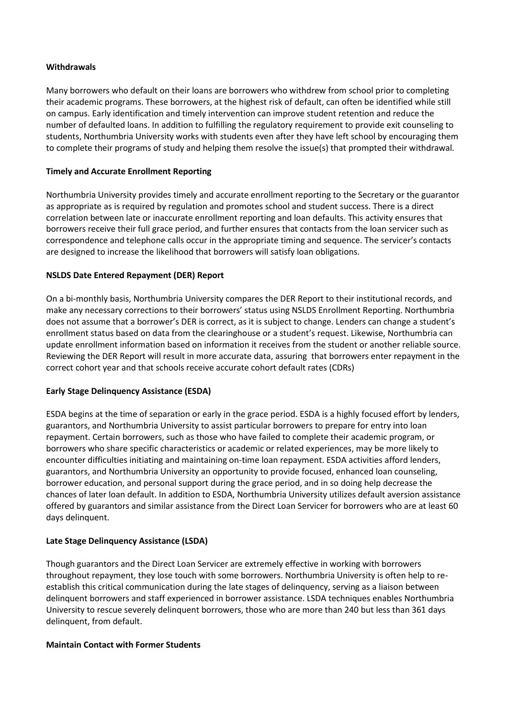### **Withdrawals**

Many borrowers who default on their loans are borrowers who withdrew from school prior to completing their academic programs. These borrowers, at the highest risk of default, can often be identified while still on campus. Early identification and timely intervention can improve student retention and reduce the number of defaulted loans. In addition to fulfilling the regulatory requirement to provide exit counseling to students, Northumbria University works with students even after they have left school by encouraging them to complete their programs of study and helping them resolve the issue(s) that prompted their withdrawal.

### **Timely and Accurate Enrollment Reporting**

Northumbria University provides timely and accurate enrollment reporting to the Secretary or the guarantor as appropriate as is required by regulation and promotes school and student success. There is a direct correlation between late or inaccurate enrollment reporting and loan defaults. This activity ensures that borrowers receive their full grace period, and further ensures that contacts from the loan servicer such as correspondence and telephone calls occur in the appropriate timing and sequence. The servicer's contacts are designed to increase the likelihood that borrowers will satisfy loan obligations.

# **NSLDS Date Entered Repayment (DER) Report**

On a bi-monthly basis, Northumbria University compares the DER Report to their institutional records, and make any necessary corrections to their borrowers' status using NSLDS Enrollment Reporting. Northumbria does not assume that a borrower's DER is correct, as it is subject to change. Lenders can change a student's enrollment status based on data from the clearinghouse or a student's request. Likewise, Northumbria can update enrollment information based on information it receives from the student or another reliable source. Reviewing the DER Report will result in more accurate data, assuring that borrowers enter repayment in the correct cohort year and that schools receive accurate cohort default rates (CDRs)

# **Early Stage Delinquency Assistance (ESDA)**

ESDA begins at the time of separation or early in the grace period. ESDA is a highly focused effort by lenders, guarantors, and Northumbria University to assist particular borrowers to prepare for entry into loan repayment. Certain borrowers, such as those who have failed to complete their academic program, or borrowers who share specific characteristics or academic or related experiences, may be more likely to encounter difficulties initiating and maintaining on-time loan repayment. ESDA activities afford lenders, guarantors, and Northumbria University an opportunity to provide focused, enhanced loan counseling, borrower education, and personal support during the grace period, and in so doing help decrease the chances of later loan default. In addition to ESDA, Northumbria University utilizes default aversion assistance offered by guarantors and similar assistance from the Direct Loan Servicer for borrowers who are at least 60 days delinquent.

### **Late Stage Delinquency Assistance (LSDA)**

Though guarantors and the Direct Loan Servicer are extremely effective in working with borrowers throughout repayment, they lose touch with some borrowers. Northumbria University is often help to reestablish this critical communication during the late stages of delinquency, serving as a liaison between delinquent borrowers and staff experienced in borrower assistance. LSDA techniques enables Northumbria University to rescue severely delinquent borrowers, those who are more than 240 but less than 361 days delinquent, from default.

### **Maintain Contact with Former Students**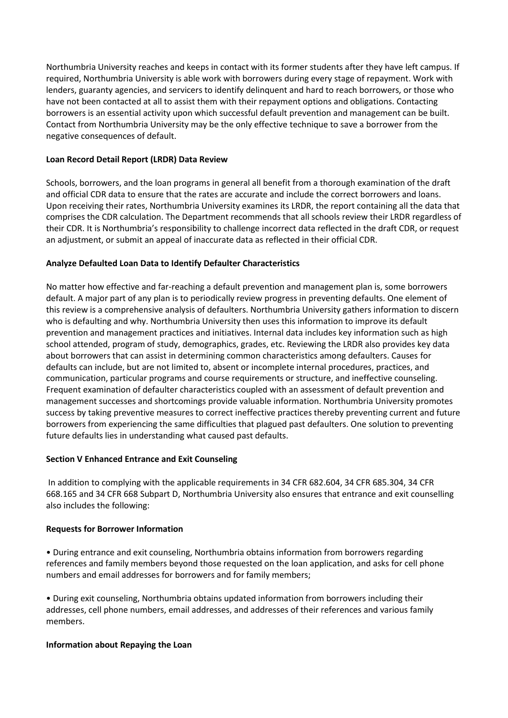Northumbria University reaches and keeps in contact with its former students after they have left campus. If required, Northumbria University is able work with borrowers during every stage of repayment. Work with lenders, guaranty agencies, and servicers to identify delinquent and hard to reach borrowers, or those who have not been contacted at all to assist them with their repayment options and obligations. Contacting borrowers is an essential activity upon which successful default prevention and management can be built. Contact from Northumbria University may be the only effective technique to save a borrower from the negative consequences of default.

# **Loan Record Detail Report (LRDR) Data Review**

Schools, borrowers, and the loan programs in general all benefit from a thorough examination of the draft and official CDR data to ensure that the rates are accurate and include the correct borrowers and loans. Upon receiving their rates, Northumbria University examines its LRDR, the report containing all the data that comprises the CDR calculation. The Department recommends that all schools review their LRDR regardless of their CDR. It is Northumbria's responsibility to challenge incorrect data reflected in the draft CDR, or request an adjustment, or submit an appeal of inaccurate data as reflected in their official CDR.

# **Analyze Defaulted Loan Data to Identify Defaulter Characteristics**

No matter how effective and far-reaching a default prevention and management plan is, some borrowers default. A major part of any plan is to periodically review progress in preventing defaults. One element of this review is a comprehensive analysis of defaulters. Northumbria University gathers information to discern who is defaulting and why. Northumbria University then uses this information to improve its default prevention and management practices and initiatives. Internal data includes key information such as high school attended, program of study, demographics, grades, etc. Reviewing the LRDR also provides key data about borrowers that can assist in determining common characteristics among defaulters. Causes for defaults can include, but are not limited to, absent or incomplete internal procedures, practices, and communication, particular programs and course requirements or structure, and ineffective counseling. Frequent examination of defaulter characteristics coupled with an assessment of default prevention and management successes and shortcomings provide valuable information. Northumbria University promotes success by taking preventive measures to correct ineffective practices thereby preventing current and future borrowers from experiencing the same difficulties that plagued past defaulters. One solution to preventing future defaults lies in understanding what caused past defaults.

# **Section V Enhanced Entrance and Exit Counseling**

In addition to complying with the applicable requirements in 34 CFR 682.604, 34 CFR 685.304, 34 CFR 668.165 and 34 CFR 668 Subpart D, Northumbria University also ensures that entrance and exit counselling also includes the following:

# **Requests for Borrower Information**

• During entrance and exit counseling, Northumbria obtains information from borrowers regarding references and family members beyond those requested on the loan application, and asks for cell phone numbers and email addresses for borrowers and for family members;

• During exit counseling, Northumbria obtains updated information from borrowers including their addresses, cell phone numbers, email addresses, and addresses of their references and various family members.

# **Information about Repaying the Loan**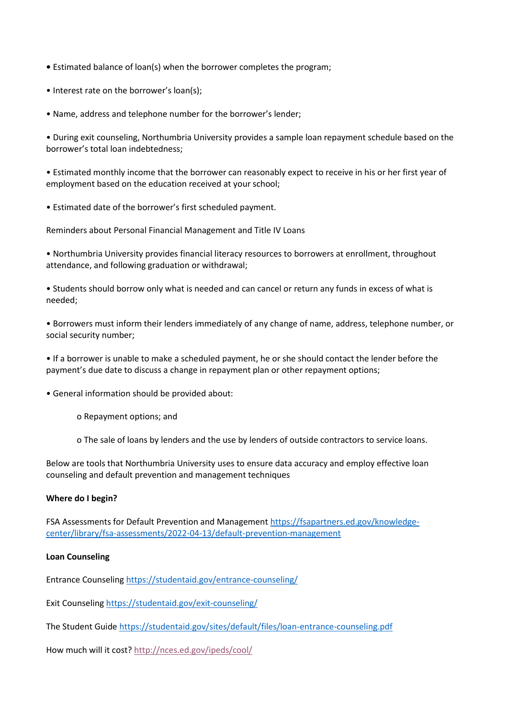- Estimated balance of loan(s) when the borrower completes the program;
- Interest rate on the borrower's loan(s);
- Name, address and telephone number for the borrower's lender;

• During exit counseling, Northumbria University provides a sample loan repayment schedule based on the borrower's total loan indebtedness;

• Estimated monthly income that the borrower can reasonably expect to receive in his or her first year of employment based on the education received at your school;

• Estimated date of the borrower's first scheduled payment.

Reminders about Personal Financial Management and Title IV Loans

• Northumbria University provides financial literacy resources to borrowers at enrollment, throughout attendance, and following graduation or withdrawal;

• Students should borrow only what is needed and can cancel or return any funds in excess of what is needed;

• Borrowers must inform their lenders immediately of any change of name, address, telephone number, or social security number;

• If a borrower is unable to make a scheduled payment, he or she should contact the lender before the payment's due date to discuss a change in repayment plan or other repayment options;

• General information should be provided about:

- o Repayment options; and
- o The sale of loans by lenders and the use by lenders of outside contractors to service loans.

Below are tools that Northumbria University uses to ensure data accuracy and employ effective loan counseling and default prevention and management techniques

### **Where do I begin?**

FSA Assessments for Default Prevention and Managemen[t https://fsapartners.ed.gov/knowledge](https://fsapartners.ed.gov/knowledge-center/library/fsa-assessments/2022-04-13/default-prevention-management)[center/library/fsa-assessments/2022-04-13/default-prevention-management](https://fsapartners.ed.gov/knowledge-center/library/fsa-assessments/2022-04-13/default-prevention-management)

#### **Loan Counseling**

Entrance Counseling<https://studentaid.gov/entrance-counseling/>

Exit Counseling<https://studentaid.gov/exit-counseling/>

The Student Guide<https://studentaid.gov/sites/default/files/loan-entrance-counseling.pdf>

How much will it cost?<http://nces.ed.gov/ipeds/cool/>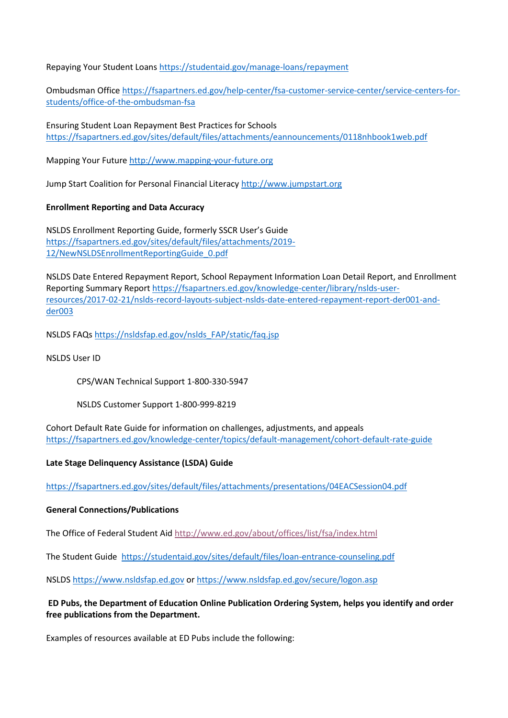Repaying Your Student Loan[s https://studentaid.gov/manage-loans/repayment](https://studentaid.gov/manage-loans/repayment)

Ombudsman Office [https://fsapartners.ed.gov/help-center/fsa-customer-service-center/service-centers-for](https://fsapartners.ed.gov/help-center/fsa-customer-service-center/service-centers-for-students/office-of-the-ombudsman-fsa)[students/office-of-the-ombudsman-fsa](https://fsapartners.ed.gov/help-center/fsa-customer-service-center/service-centers-for-students/office-of-the-ombudsman-fsa)

Ensuring Student Loan Repayment Best Practices for Schools <https://fsapartners.ed.gov/sites/default/files/attachments/eannouncements/0118nhbook1web.pdf>

Mapping Your Futur[e http://www.mapping-your-future.org](http://www.mapping-your-future.org/)

Jump Start Coalition for Personal Financial Literac[y http://www.jumpstart.org](http://www.jumpstart.org/)

### **Enrollment Reporting and Data Accuracy**

NSLDS Enrollment Reporting Guide, formerly SSCR User's Guide [https://fsapartners.ed.gov/sites/default/files/attachments/2019-](https://fsapartners.ed.gov/sites/default/files/attachments/2019-12/NewNSLDSEnrollmentReportingGuide_0.pdf) [12/NewNSLDSEnrollmentReportingGuide\\_0.pdf](https://fsapartners.ed.gov/sites/default/files/attachments/2019-12/NewNSLDSEnrollmentReportingGuide_0.pdf)

NSLDS Date Entered Repayment Report, School Repayment Information Loan Detail Report, and Enrollment Reporting Summary Repor[t https://fsapartners.ed.gov/knowledge-center/library/nslds-user](https://fsapartners.ed.gov/knowledge-center/library/nslds-user-resources/2017-02-21/nslds-record-layouts-subject-nslds-date-entered-repayment-report-der001-and-der003)[resources/2017-02-21/nslds-record-layouts-subject-nslds-date-entered-repayment-report-der001-and](https://fsapartners.ed.gov/knowledge-center/library/nslds-user-resources/2017-02-21/nslds-record-layouts-subject-nslds-date-entered-repayment-report-der001-and-der003)[der003](https://fsapartners.ed.gov/knowledge-center/library/nslds-user-resources/2017-02-21/nslds-record-layouts-subject-nslds-date-entered-repayment-report-der001-and-der003)

NSLDS FAQ[s https://nsldsfap.ed.gov/nslds\\_FAP/static/faq.jsp](https://nsldsfap.ed.gov/nslds_FAP/static/faq.jsp)

NSLDS User ID

CPS/WAN Technical Support 1-800-330-5947

NSLDS Customer Support 1-800-999-8219

Cohort Default Rate Guide for information on challenges, adjustments, and appeals <https://fsapartners.ed.gov/knowledge-center/topics/default-management/cohort-default-rate-guide>

### **Late Stage Delinquency Assistance (LSDA) Guide**

<https://fsapartners.ed.gov/sites/default/files/attachments/presentations/04EACSession04.pdf>

### **General Connections/Publications**

The Office of Federal Student Ai[d http://www.ed.gov/about/offices/list/fsa/index.html](http://www.ed.gov/about/offices/list/fsa/index.html)

The Student Guide <https://studentaid.gov/sites/default/files/loan-entrance-counseling.pdf>

NSLDS [https://www.nsldsfap.ed.gov](https://www.nsldsfap.ed.gov/) o[r https://www.nsldsfap.ed.gov/secure/logon.asp](https://www.nsldsfap.ed.gov/secure/logon.asp)

### **ED Pubs, the Department of Education Online Publication Ordering System, helps you identify and order free publications from the Department.**

Examples of resources available at ED Pubs include the following: